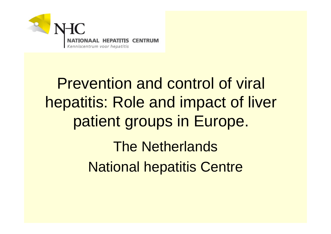

# Prevention and control of viral hepatitis: Role and impact of liver patient groups in Europe. The Netherlands National hepatitis Centre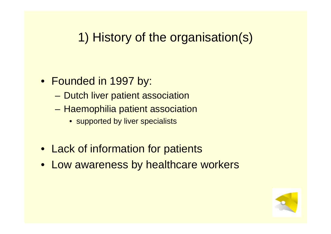# 1) History of the organisation(s)

- Founded in 1997 by:
	- Dutch liver patient association
	- Haemophilia patient association
		- supported by liver specialists
- Lack of information for patients
- Low awareness by healthcare workers

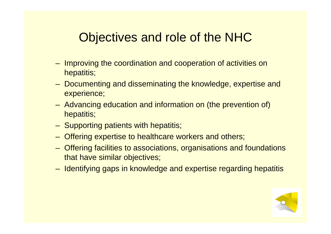### Objectives and role of the NHC

- Improving the coordination and cooperation of activities on hepatitis;
- Documenting and disseminating the knowledge, expertise and experience;
- Advancing education and information on (the prevention of) hepatitis;
- Supporting patients with hepatitis;
- Offering expertise to healthcare workers and others;
- Offering facilities to associations, organisations and foundations that have similar objectives;
- Identifying gaps in knowledge and expertise regarding hepatitis

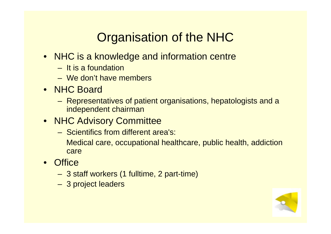# Organisation of the NHC

- NHC is a knowledge and information centre
	- It is a foundation
	- We don't have members
- NHC Board
	- Representatives of patient organisations, hepatologists and a independent chairman
- NHC Advisory Committee
	- Scientifics from different area's: Medical care, occupational healthcare, public health, addiction care
- Office
	- 3 staff workers (1 fulltime, 2 part-time)
	- 3 project leaders

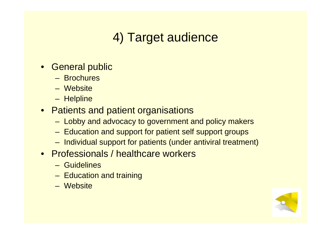# 4) Target audience

- General public
	- Brochures
	- Website
	- Helpline
- Patients and patient organisations
	- Lobby and advocacy to government and policy makers
	- Education and support for patient self support groups
	- Individual support for patients (under antiviral treatment)
- Professionals / healthcare workers
	- Guidelines
	- Education and training
	- Website

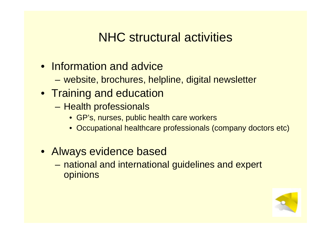#### NHC structural activities

- Information and advice
	- website, brochures, helpline, digital newsletter
- Training and education
	- Health professionals
		- GP's, nurses, public health care workers
		- Occupational healthcare professionals (company doctors etc)
- Always evidence based
	- national and international guidelines and expert opinions

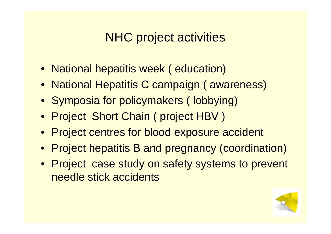#### NHC project activities

- National hepatitis week ( education)
- National Hepatitis C campaign ( awareness)
- Symposia for policymakers (lobbying)
- Project Short Chain ( project HBV )
- Project centres for blood exposure accident
- Project hepatitis B and pregnancy (coordination)
- Project case study on safety systems to prevent needle stick accidents

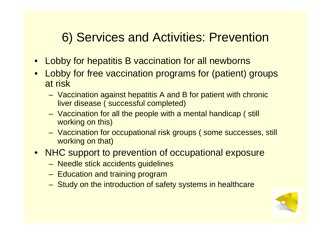#### 6) Services and Activities: Prevention

- Lobby for hepatitis B vaccination for all newborns
- Lobby for free vaccination programs for (patient) groups at risk
	- Vaccination against hepatitis A and B for patient with chronic liver disease ( successful completed)
	- Vaccination for all the people with a mental handicap ( still working on this)
	- Vaccination for occupational risk groups ( some successes, still working on that)
- NHC support to prevention of occupational exposure
	- Needle stick accidents guidelines
	- Education and training program
	- Study on the introduction of safety systems in healthcare

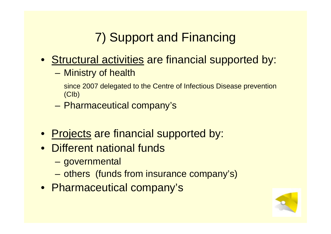# 7) Support and Financing

- Structural activities are financial supported by:
	- Ministry of health

since 2007 delegated to the Centre of Infectious Disease prevention (CIb)

– Pharmaceutical company's

- Projects are financial supported by:
- Different national funds
	- governmental
	- others (funds from insurance company's)
- Pharmaceutical company's

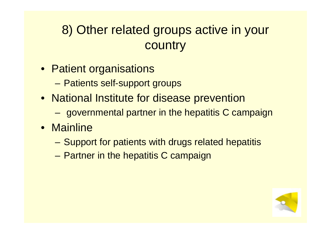#### 8) Other related groups active in your country

- Patient organisations
	- Patients self-support groups
- National Institute for disease prevention
	- governmental partner in the hepatitis C campaign
- Mainline
	- Support for patients with drugs related hepatitis
	- Partner in the hepatitis C campaign

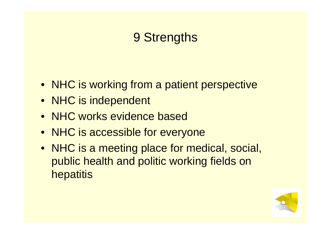#### 9 Strengths

- NHC is working from a patient perspective
- NHC is independent
- NHC works evidence based
- NHC is accessible for everyone
- NHC is a meeting place for medical, social, public health and politic working fields on hepatitis

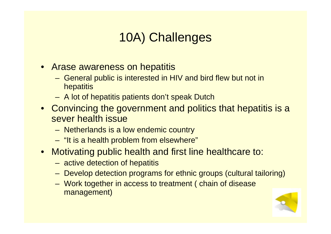# 10A) Challenges

- Arase awareness on hepatitis
	- General public is interested in HIV and bird flew but not in hepatitis
	- A lot of hepatitis patients don't speak Dutch
- Convincing the government and politics that hepatitis is a sever health issue
	- Netherlands is a low endemic country
	- "It is a health problem from elsewhere"
- Motivating public health and first line healthcare to:
	- active detection of hepatitis
	- Develop detection programs for ethnic groups (cultural tailoring)
	- Work together in access to treatment ( chain of disease management)

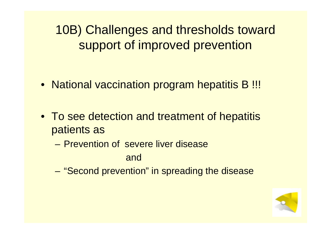10B) Challenges and thresholds toward support of improved prevention

- National vaccination program hepatitis B!!!
- To see detection and treatment of hepatitis patients as
	- Prevention of severe liver disease
		- and
	- "Second prevention" in spreading the disease